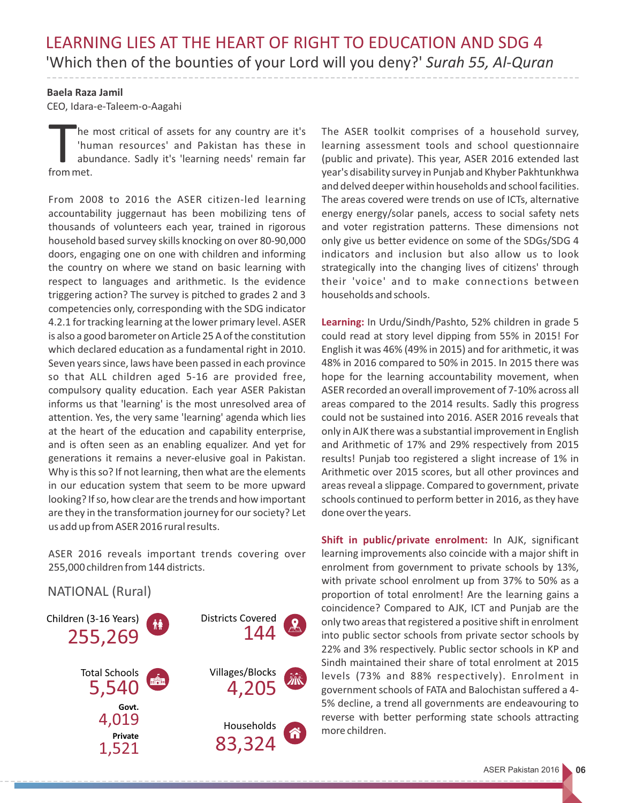## **Baela Raza Jamil**

CEO, Idara-e-Taleem-o-Aagahi

he most critical of assets for any country are it's<br>'human resources' and Pakistan has these in abundance. Sadly it's 'learning needs' remain far from met.

From 2008 to 2016 the ASER citizen-led learning accountability juggernaut has been mobilizing tens of thousands of volunteers each year, trained in rigorous household based survey skills knocking on over 80-90,000 doors, engaging one on one with children and informing the country on where we stand on basic learning with respect to languages and arithmetic. Is the evidence triggering action? The survey is pitched to grades 2 and 3 competencies only, corresponding with the SDG indicator 4.2.1 for tracking learning at the lower primary level. ASER is also a good barometer on Article 25 A of the constitution which declared education as a fundamental right in 2010. Seven years since, laws have been passed in each province so that ALL children aged 5-16 are provided free, compulsory quality education. Each year ASER Pakistan informs us that 'learning' is the most unresolved area of attention. Yes, the very same 'learning' agenda which lies at the heart of the education and capability enterprise, and is often seen as an enabling equalizer. And yet for generations it remains a never-elusive goal in Pakistan. Why is this so? If not learning, then what are the elements in our education system that seem to be more upward looking? If so, how clear are the trends and how important are they in the transformation journey for our society? Let us add up from ASER 2016 rural results.

ASER 2016 reveals important trends covering over 255,000 children from 144 districts.

NATIONAL (Rural)



The ASER toolkit comprises of a household survey, learning assessment tools and school questionnaire (public and private). This year, ASER 2016 extended last year's disability survey in Punjab and Khyber Pakhtunkhwa and delved deeper within households and school facilities. The areas covered were trends on use of ICTs, alternative energy energy/solar panels, access to social safety nets and voter registration patterns. These dimensions not only give us better evidence on some of the SDGs/SDG 4 indicators and inclusion but also allow us to look strategically into the changing lives of citizens' through their 'voice' and to make connections between households and schools.

**Learning:** In Urdu/Sindh/Pashto, 52% children in grade 5 could read at story level dipping from 55% in 2015! For English it was 46% (49% in 2015) and for arithmetic, it was 48% in 2016 compared to 50% in 2015. In 2015 there was hope for the learning accountability movement, when ASER recorded an overall improvement of 7-10% across all areas compared to the 2014 results. Sadly this progress could not be sustained into 2016. ASER 2016 reveals that only in AJK there was a substantial improvement in English and Arithmetic of 17% and 29% respectively from 2015 results! Punjab too registered a slight increase of 1% in Arithmetic over 2015 scores, but all other provinces and areas reveal a slippage. Compared to government, private schools continued to perform better in 2016, as they have done over the years.

**Shift in public/private enrolment:** In AJK, significant learning improvements also coincide with a major shift in enrolment from government to private schools by 13%, with private school enrolment up from 37% to 50% as a proportion of total enrolment! Are the learning gains a coincidence? Compared to AJK, ICT and Punjab are the only two areas that registered a positive shift in enrolment into public sector schools from private sector schools by 22% and 3% respectively. Public sector schools in KP and Sindh maintained their share of total enrolment at 2015 levels (73% and 88% respectively). Enrolment in government schools of FATA and Balochistan suffered a 4- 5% decline, a trend all governments are endeavouring to reverse with better performing state schools attracting more children.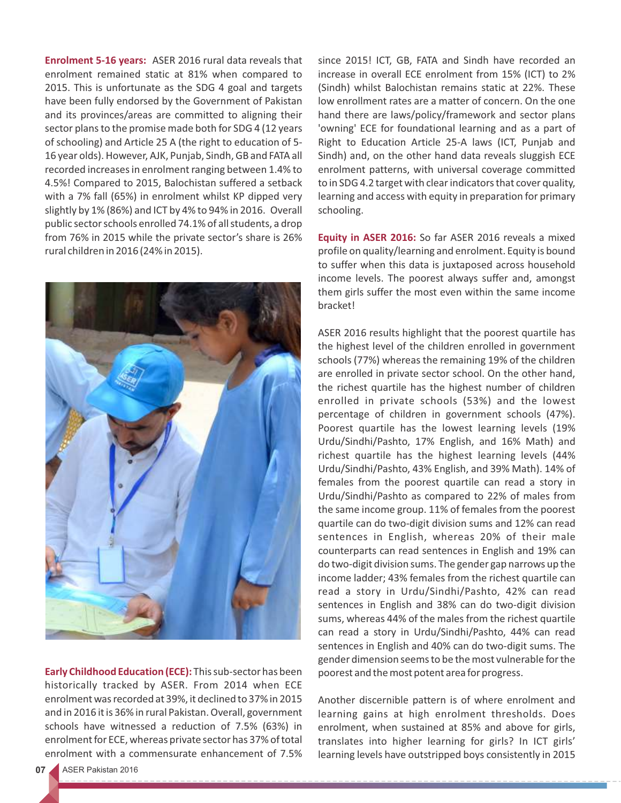**Enrolment 5-16 years:** ASER 2016 rural data reveals that enrolment remained static at 81% when compared to 2015. This is unfortunate as the SDG 4 goal and targets have been fully endorsed by the Government of Pakistan and its provinces/areas are committed to aligning their sector plans to the promise made both for SDG 4 (12 years of schooling) and Article 25 A (the right to education of 5- 16 year olds). However, AJK, Punjab, Sindh, GB and FATA all recorded increases in enrolment ranging between 1.4% to 4.5%! Compared to 2015, Balochistan suffered a setback with a 7% fall (65%) in enrolment whilst KP dipped very slightly by 1% (86%) and ICT by 4% to 94% in 2016. Overall public sector schools enrolled 74.1% of all students, a drop from 76% in 2015 while the private sector's share is 26% rural children in 2016 (24% in 2015).



**Early Childhood Education (ECE):** This sub-sector has been historically tracked by ASER. From 2014 when ECE enrolment was recorded at 39%, it declined to 37% in 2015 and in 2016 it is 36% in rural Pakistan. Overall, government schools have witnessed a reduction of 7.5% (63%) in enrolment for ECE, whereas private sector has 37% of total enrolment with a commensurate enhancement of 7.5% since 2015! ICT, GB, FATA and Sindh have recorded an increase in overall ECE enrolment from 15% (ICT) to 2% (Sindh) whilst Balochistan remains static at 22%. These low enrollment rates are a matter of concern. On the one hand there are laws/policy/framework and sector plans 'owning' ECE for foundational learning and as a part of Right to Education Article 25-A laws (ICT, Punjab and Sindh) and, on the other hand data reveals sluggish ECE enrolment patterns, with universal coverage committed to in SDG 4.2 target with clear indicators that cover quality, learning and access with equity in preparation for primary schooling.

**Equity in ASER 2016:** So far ASER 2016 reveals a mixed profile on quality/learning and enrolment. Equity is bound to suffer when this data is juxtaposed across household income levels. The poorest always suffer and, amongst them girls suffer the most even within the same income bracket!

ASER 2016 results highlight that the poorest quartile has the highest level of the children enrolled in government schools (77%) whereas the remaining 19% of the children are enrolled in private sector school. On the other hand, the richest quartile has the highest number of children enrolled in private schools (53%) and the lowest percentage of children in government schools (47%). Poorest quartile has the lowest learning levels (19% Urdu/Sindhi/Pashto, 17% English, and 16% Math) and richest quartile has the highest learning levels (44% Urdu/Sindhi/Pashto, 43% English, and 39% Math). 14% of females from the poorest quartile can read a story in Urdu/Sindhi/Pashto as compared to 22% of males from the same income group. 11% of females from the poorest quartile can do two-digit division sums and 12% can read sentences in English, whereas 20% of their male counterparts can read sentences in English and 19% can do two-digit division sums. The gender gap narrows up the income ladder; 43% females from the richest quartile can read a story in Urdu/Sindhi/Pashto, 42% can read sentences in English and 38% can do two-digit division sums, whereas 44% of the males from the richest quartile can read a story in Urdu/Sindhi/Pashto, 44% can read sentences in English and 40% can do two-digit sums. The gender dimension seems to be the most vulnerable for the poorest and the most potent area for progress.

Another discernible pattern is of where enrolment and learning gains at high enrolment thresholds. Does enrolment, when sustained at 85% and above for girls, translates into higher learning for girls? In ICT girls' learning levels have outstripped boys consistently in 2015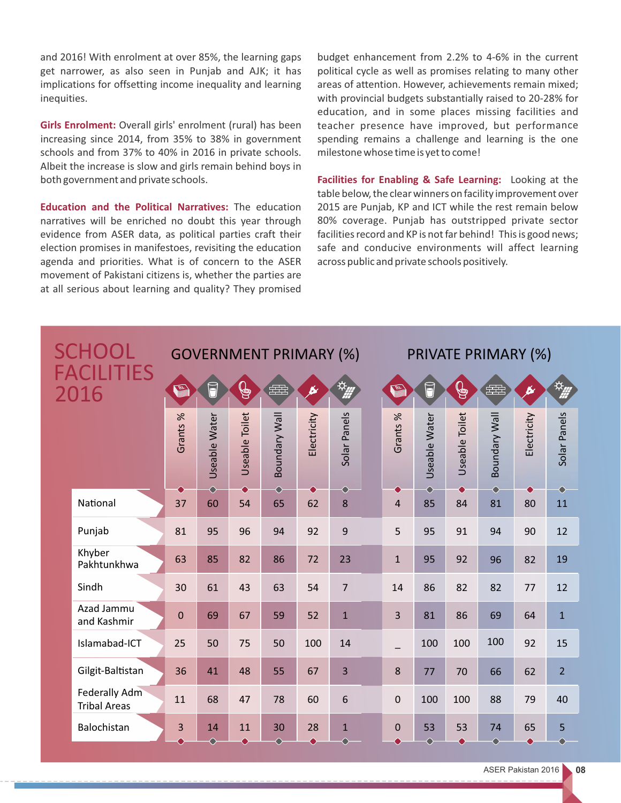and 2016! With enrolment at over 85%, the learning gaps get narrower, as also seen in Punjab and AJK; it has implications for offsetting income inequality and learning inequities.

**Girls Enrolment:** Overall girls' enrolment (rural) has been increasing since 2014, from 35% to 38% in government schools and from 37% to 40% in 2016 in private schools. Albeit the increase is slow and girls remain behind boys in both government and private schools.

**Education and the Political Narratives:** The education narratives will be enriched no doubt this year through evidence from ASER data, as political parties craft their election promises in manifestoes, revisiting the education agenda and priorities. What is of concern to the ASER movement of Pakistani citizens is, whether the parties are at all serious about learning and quality? They promised

budget enhancement from 2.2% to 4-6% in the current political cycle as well as promises relating to many other areas of attention. However, achievements remain mixed; with provincial budgets substantially raised to 20-28% for education, and in some places missing facilities and teacher presence have improved, but performance spending remains a challenge and learning is the one milestone whose time is yet to come!

**Facilities for Enabling & Safe Learning:** Looking at the table below, the clear winners on facility improvement over 2015 are Punjab, KP and ICT while the rest remain below 80% coverage. Punjab has outstripped private sector facilities record and KP is not far behind! This is good news; safe and conducive environments will affect learning across public and private schools positively.

| <b>SCHOOL</b><br>FACILITIES<br>2016 |                                             | <b>GOVERNMENT PRIMARY (%)</b> |                          |                 |                  |                 |                           | <b>PRIVATE PRIMARY (%)</b> |                          |                 |                          |                 |                |  |
|-------------------------------------|---------------------------------------------|-------------------------------|--------------------------|-----------------|------------------|-----------------|---------------------------|----------------------------|--------------------------|-----------------|--------------------------|-----------------|----------------|--|
|                                     |                                             | <b>RES</b>                    | 1                        | $\mathbb{G}$    | 囲                | k               | $\varphi_{\underline{m}}$ | <b>RS.</b>                 | 1                        | $\mathbb{G}$    | 。<br>年书                  |                 | 资理             |  |
|                                     |                                             | Grants %                      | Useable Water            | Useable Toilet  | Boundary Wall    | Electricity     | Solar Panels              | $\%$<br>Grants 9           | Useable Water            | Useable Toilet  | <b>Boundary Wall</b>     | Electricity     | Solar Panels   |  |
|                                     | National                                    | 37                            | $\Diamond$<br>60         | ●<br>54         | $\bigcirc$<br>65 | 62              | $\bigcirc$<br>8           | $\overline{4}$             | $\bullet$<br>85          | ♠<br>84         | 81                       | 80              | ⌒<br>11        |  |
|                                     | Punjab                                      | 81                            | 95                       | 96              | 94               | 92              | 9                         | 5                          | 95                       | 91              | 94                       | 90              | 12             |  |
|                                     | Khyber<br>Pakhtunkhwa                       | 63                            | 85                       | 82              | 86               | 72              | 23                        | $\mathbf{1}$               | 95                       | 92              | 96                       | 82              | 19             |  |
|                                     | Sindh                                       | 30                            | 61                       | 43              | 63               | 54              | $\overline{7}$            | 14                         | 86                       | 82              | 82                       | 77              | 12             |  |
|                                     | Azad Jammu<br>and Kashmir                   | $\overline{0}$                | 69                       | 67              | 59               | 52              | $\overline{1}$            | $\overline{3}$             | 81                       | 86              | 69                       | 64              | $\mathbf{1}$   |  |
|                                     | Islamabad-ICT                               | 25                            | 50                       | 75              | 50               | 100             | 14                        |                            | 100                      | 100             | 100                      | 92              | 15             |  |
|                                     | Gilgit-Baltistan                            | 36                            | 41                       | 48              | 55               | 67              | 3                         | 8                          | 77                       | 70              | 66                       | 62              | $\overline{2}$ |  |
|                                     | <b>Federally Adm</b><br><b>Tribal Areas</b> | 11                            | 68                       | 47              | 78               | 60              | 6                         | $\mathbf 0$                | 100                      | 100             | 88                       | 79              | 40             |  |
|                                     | Balochistan                                 | 3                             | 14<br>$\curvearrowright$ | 11<br>$\bullet$ | 30<br>⌒          | 28<br>$\bullet$ | $\mathbf{1}$<br>⌒         | $\mathbf 0$<br>▲           | 53<br>$\curvearrowright$ | 53<br>$\bullet$ | 74<br>$\curvearrowright$ | 65<br>$\bullet$ | 5              |  |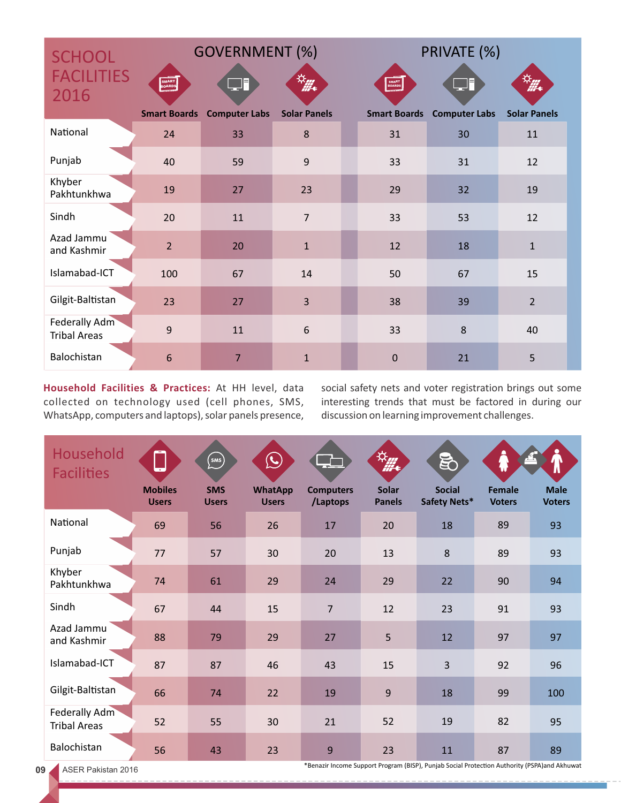| <b>SCHOOL</b>                               |                                        | <b>GOVERNMENT (%)</b>     |                           | PRIVATE (%)                                        |                                     |                                      |  |  |  |
|---------------------------------------------|----------------------------------------|---------------------------|---------------------------|----------------------------------------------------|-------------------------------------|--------------------------------------|--|--|--|
| <b>FACILITIES</b><br>2016                   | SMART<br>BOARDS<br><b>Smart Boards</b> | F<br><b>Computer Labs</b> | 选择<br><b>Solar Panels</b> | SMART<br>BOARD <sup>S</sup><br><b>Smart Boards</b> | <u>n ji</u><br><b>Computer Labs</b> | $\frac{1}{2}$<br><b>Solar Panels</b> |  |  |  |
| National                                    | 24                                     | 33                        | 8                         | 31                                                 | 30                                  | 11                                   |  |  |  |
| Punjab                                      | 40                                     | 59                        | 9                         | 33                                                 | 31                                  | 12                                   |  |  |  |
| Khyber<br>Pakhtunkhwa                       | 19                                     | 27                        | 23                        | 29                                                 | 32                                  | 19                                   |  |  |  |
| Sindh                                       | 20                                     | 11                        | $\overline{7}$            | 33                                                 | 53                                  | 12                                   |  |  |  |
| Azad Jammu<br>and Kashmir                   | $\overline{2}$                         | 20                        | $\mathbf{1}$              | 12                                                 | 18                                  | $\mathbf{1}$                         |  |  |  |
| Islamabad-ICT                               | 100                                    | 67                        | 14                        | 50                                                 | 67                                  | 15                                   |  |  |  |
| Gilgit-Baltistan                            | 23                                     | 27                        | 3                         | 38                                                 | 39                                  | $\overline{2}$                       |  |  |  |
| <b>Federally Adm</b><br><b>Tribal Areas</b> | 9                                      | 11                        | 6                         | 33                                                 | 8                                   | 40                                   |  |  |  |
| Balochistan                                 | 6                                      | $\overline{7}$            | $\mathbf{1}$              | $\mathbf 0$                                        | 21                                  | 5                                    |  |  |  |

**Household Facilities & Practices:** At HH level, data collected on technology used (cell phones, SMS, WhatsApp, computers and laptops), solar panels presence, social safety nets and voter registration brings out some interesting trends that must be factored in during our discussion on learning improvement challenges.

| Household<br><b>Facilities</b>              | Ļ                              | $\begin{pmatrix}$ sms $\end{pmatrix}$ | $\bigodot$                     |                              | $\frac{1}{2}$                 | 邑                             | ₩                              | Π                            |
|---------------------------------------------|--------------------------------|---------------------------------------|--------------------------------|------------------------------|-------------------------------|-------------------------------|--------------------------------|------------------------------|
|                                             | <b>Mobiles</b><br><b>Users</b> | <b>SMS</b><br><b>Users</b>            | <b>WhatApp</b><br><b>Users</b> | <b>Computers</b><br>/Laptops | <b>Solar</b><br><b>Panels</b> | <b>Social</b><br>Safety Nets* | <b>Female</b><br><b>Voters</b> | <b>Male</b><br><b>Voters</b> |
| National                                    | 69                             | 56                                    | 26                             | 17                           | 20                            | 18                            | 89                             | 93                           |
| Punjab                                      | 77                             | 57                                    | 30                             | 20                           | 13                            | 8                             | 89                             | 93                           |
| Khyber<br>Pakhtunkhwa                       | 74                             | 61                                    | 29                             | 24                           | 29                            | 22                            | 90                             | 94                           |
| Sindh                                       | 67                             | 44                                    | 15                             | $\overline{7}$               | 12                            | 23                            | 91                             | 93                           |
| Azad Jammu<br>and Kashmir                   | 88                             | 79                                    | 29                             | 27                           | 5                             | 12                            | 97                             | 97                           |
| Islamabad-ICT                               | 87                             | 87                                    | 46                             | 43                           | 15                            | 3                             | 92                             | 96                           |
| Gilgit-Baltistan                            | 66                             | 74                                    | 22                             | 19                           | 9                             | 18                            | 99                             | 100                          |
| <b>Federally Adm</b><br><b>Tribal Areas</b> | 52                             | 55                                    | 30                             | 21                           | 52                            | 19                            | 82                             | 95                           |
| Balochistan                                 | 56                             | 43                                    | 23                             | 9                            | 23                            | 11                            | 87                             | 89                           |

ASER Pakistan 2016

\*Benazir Income Support Program (BISP), Punjab Social Protection Authority (PSPA)and Akhuwat